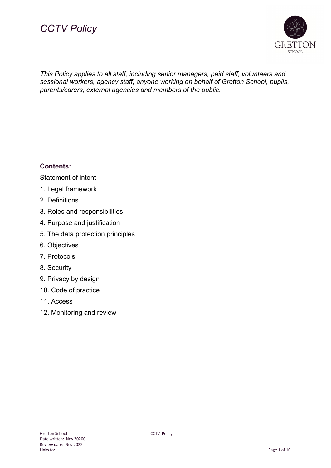



*This Policy applies to all staff, including senior managers, paid staff, volunteers and sessional workers, agency staff, anyone working on behalf of Gretton School, pupils, parents/carers, external agencies and members of the public.*

## **Contents:**

Statement of intent

- 1. Legal framework
- 2. Definitions
- 3. Roles and responsibilities
- 4. Purpose and justification
- 5. The data protection principles
- 6. Objectives
- 7. Protocols
- 8. Security
- 9. Privacy by design
- 10. Code of practice
- 11. Access
- 12. Monitoring and review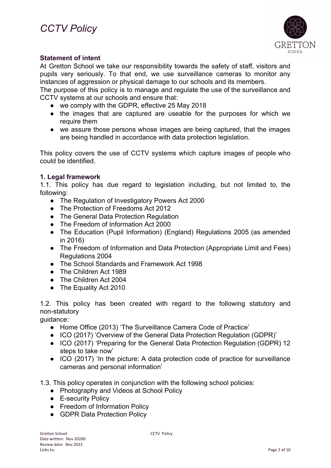

## **Statement of intent**

At Gretton School we take our responsibility towards the safety of staff, visitors and pupils very seriously. To that end, we use surveillance cameras to monitor any instances of aggression or physical damage to our schools and its members.

The purpose of this policy is to manage and regulate the use of the surveillance and CCTV systems at our schools and ensure that:

- we comply with the GDPR, effective 25 May 2018
- the images that are captured are useable for the purposes for which we require them
- we assure those persons whose images are being captured, that the images are being handled in accordance with data protection legislation.

This policy covers the use of CCTV systems which capture images of people who could be identified.

#### **1. Legal framework**

1.1. This policy has due regard to legislation including, but not limited to, the following:

- The Regulation of Investigatory Powers Act 2000
- The Protection of Freedoms Act 2012
- The General Data Protection Regulation
- The Freedom of Information Act 2000
- The Education (Pupil Information) (England) Regulations 2005 (as amended in 2016)
- The Freedom of Information and Data Protection (Appropriate Limit and Fees) Regulations 2004
- The School Standards and Framework Act 1998
- The Children Act 1989
- The Children Act 2004
- The Equality Act 2010

1.2. This policy has been created with regard to the following statutory and non-statutory

guidance:

- Home Office (2013) 'The Surveillance Camera Code of Practice'
- ICO (2017) 'Overview of the General Data Protection Regulation (GDPR)'
- ICO (2017) 'Preparing for the General Data Protection Regulation (GDPR) 12 steps to take now'
- ICO (2017) 'In the picture: A data protection code of practice for surveillance cameras and personal information'
- 1.3. This policy operates in conjunction with the following school policies:
	- Photography and Videos at School Policy
	- E-security Policy
	- Freedom of Information Policy
	- GDPR Data Protection Policy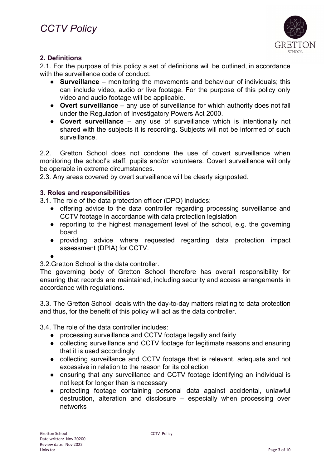

## **2. Definitions**

2.1. For the purpose of this policy a set of definitions will be outlined, in accordance with the surveillance code of conduct:

- **Surveillance** monitoring the movements and behaviour of individuals; this can include video, audio or live footage. For the purpose of this policy only video and audio footage will be applicable.
- **Overt surveillance** any use of surveillance for which authority does not fall under the Regulation of Investigatory Powers Act 2000.
- **Covert surveillance** any use of surveillance which is intentionally not shared with the subjects it is recording. Subjects will not be informed of such surveillance.

2.2. Gretton School does not condone the use of covert surveillance when monitoring the school's staff, pupils and/or volunteers. Covert surveillance will only be operable in extreme circumstances.

2.3. Any areas covered by overt surveillance will be clearly signposted.

## **3. Roles and responsibilities**

3.1. The role of the data protection officer (DPO) includes:

- offering advice to the data controller regarding processing surveillance and CCTV footage in accordance with data protection legislation
- reporting to the highest management level of the school, e.g. the governing board
- providing advice where requested regarding data protection impact assessment (DPIA) for CCTV.

●

3.2.Gretton School is the data controller.

The governing body of Gretton School therefore has overall responsibility for ensuring that records are maintained, including security and access arrangements in accordance with regulations.

3.3. The Gretton School deals with the day-to-day matters relating to data protection and thus, for the benefit of this policy will act as the data controller.

3.4. The role of the data controller includes:

- processing surveillance and CCTV footage legally and fairly
- collecting surveillance and CCTV footage for legitimate reasons and ensuring that it is used accordingly
- collecting surveillance and CCTV footage that is relevant, adequate and not excessive in relation to the reason for its collection
- ensuring that any surveillance and CCTV footage identifying an individual is not kept for longer than is necessary
- protecting footage containing personal data against accidental, unlawful destruction, alteration and disclosure – especially when processing over networks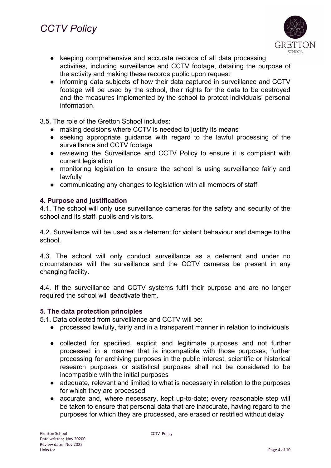

- keeping comprehensive and accurate records of all data processing activities, including surveillance and CCTV footage, detailing the purpose of the activity and making these records public upon request
- informing data subjects of how their data captured in surveillance and CCTV footage will be used by the school, their rights for the data to be destroyed and the measures implemented by the school to protect individuals' personal information.

3.5. The role of the Gretton School includes:

- making decisions where CCTV is needed to justify its means
- seeking appropriate guidance with regard to the lawful processing of the surveillance and CCTV footage
- reviewing the Surveillance and CCTV Policy to ensure it is compliant with current legislation
- monitoring legislation to ensure the school is using surveillance fairly and **lawfully**
- communicating any changes to legislation with all members of staff.

## **4. Purpose and justification**

4.1. The school will only use surveillance cameras for the safety and security of the school and its staff, pupils and visitors.

4.2. Surveillance will be used as a deterrent for violent behaviour and damage to the school.

4.3. The school will only conduct surveillance as a deterrent and under no circumstances will the surveillance and the CCTV cameras be present in any changing facility.

4.4. If the surveillance and CCTV systems fulfil their purpose and are no longer required the school will deactivate them.

## **5. The data protection principles**

5.1. Data collected from surveillance and CCTV will be:

- processed lawfully, fairly and in a transparent manner in relation to individuals
- collected for specified, explicit and legitimate purposes and not further processed in a manner that is incompatible with those purposes; further processing for archiving purposes in the public interest, scientific or historical research purposes or statistical purposes shall not be considered to be incompatible with the initial purposes
- adequate, relevant and limited to what is necessary in relation to the purposes for which they are processed
- accurate and, where necessary, kept up-to-date; every reasonable step will be taken to ensure that personal data that are inaccurate, having regard to the purposes for which they are processed, are erased or rectified without delay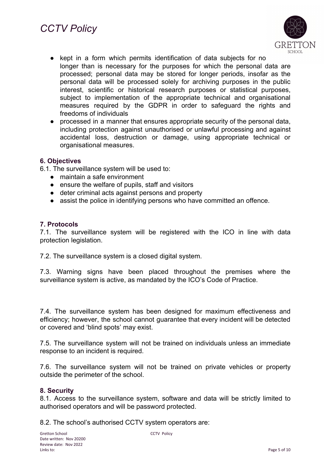

- kept in a form which permits identification of data subjects for no longer than is necessary for the purposes for which the personal data are processed; personal data may be stored for longer periods, insofar as the personal data will be processed solely for archiving purposes in the public interest, scientific or historical research purposes or statistical purposes, subject to implementation of the appropriate technical and organisational measures required by the GDPR in order to safeguard the rights and freedoms of individuals
- processed in a manner that ensures appropriate security of the personal data, including protection against unauthorised or unlawful processing and against accidental loss, destruction or damage, using appropriate technical or organisational measures.

## **6. Objectives**

6.1. The surveillance system will be used to:

- maintain a safe environment
- ensure the welfare of pupils, staff and visitors
- deter criminal acts against persons and property
- assist the police in identifying persons who have committed an offence.

#### **7. Protocols**

7.1. The surveillance system will be registered with the ICO in line with data protection legislation.

7.2. The surveillance system is a closed digital system.

7.3. Warning signs have been placed throughout the premises where the surveillance system is active, as mandated by the ICO's Code of Practice.

7.4. The surveillance system has been designed for maximum effectiveness and efficiency; however, the school cannot guarantee that every incident will be detected or covered and 'blind spots' may exist.

7.5. The surveillance system will not be trained on individuals unless an immediate response to an incident is required.

7.6. The surveillance system will not be trained on private vehicles or property outside the perimeter of the school.

#### **8. Security**

8.1. Access to the surveillance system, software and data will be strictly limited to authorised operators and will be password protected.

8.2. The school's authorised CCTV system operators are: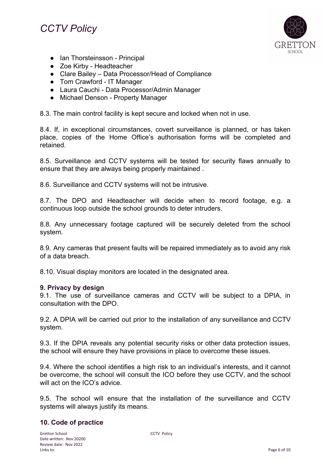## *CCTV Policy*



- Ian Thorsteinsson Principal
- Zoe Kirby Headteacher
- Clare Bailey Data Processor/Head of Compliance
- Tom Crawford IT Manager
- Laura Cauchi Data Processor/Admin Manager
- Michael Denson Property Manager

8.3. The main control facility is kept secure and locked when not in use.

8.4. If, in exceptional circumstances, covert surveillance is planned, or has taken place, copies of the Home Office's authorisation forms will be completed and retained.

8.5. Surveillance and CCTV systems will be tested for security flaws annually to ensure that they are always being properly maintained .

8.6. Surveillance and CCTV systems will not be intrusive.

8.7. The DPO and Headteacher will decide when to record footage, e.g. a continuous loop outside the school grounds to deter intruders.

8.8. Any unnecessary footage captured will be securely deleted from the school system.

8.9. Any cameras that present faults will be repaired immediately as to avoid any risk of a data breach.

8.10. Visual display monitors are located in the designated area.

#### **9. Privacy by design**

9.1. The use of surveillance cameras and CCTV will be subject to a DPIA, in consultation with the DPO.

9.2. A DPIA will be carried out prior to the installation of any surveillance and CCTV system.

9.3. If the DPIA reveals any potential security risks or other data protection issues, the school will ensure they have provisions in place to overcome these issues.

9.4. Where the school identifies a high risk to an individual's interests, and it cannot be overcome, the school will consult the ICO before they use CCTV, and the school will act on the ICO's advice.

9.5. The school will ensure that the installation of the surveillance and CCTV systems will always justify its means.

## **10. Code of practice**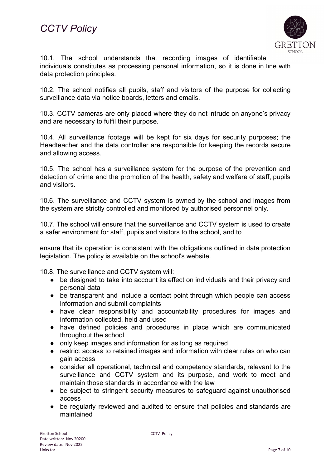

10.1. The school understands that recording images of identifiable individuals constitutes as processing personal information, so it is done in line with data protection principles.

10.2. The school notifies all pupils, staff and visitors of the purpose for collecting surveillance data via notice boards, letters and emails.

10.3. CCTV cameras are only placed where they do not intrude on anyone's privacy and are necessary to fulfil their purpose.

10.4. All surveillance footage will be kept for six days for security purposes; the Headteacher and the data controller are responsible for keeping the records secure and allowing access.

10.5. The school has a surveillance system for the purpose of the prevention and detection of crime and the promotion of the health, safety and welfare of staff, pupils and visitors.

10.6. The surveillance and CCTV system is owned by the school and images from the system are strictly controlled and monitored by authorised personnel only.

10.7. The school will ensure that the surveillance and CCTV system is used to create a safer environment for staff, pupils and visitors to the school, and to

ensure that its operation is consistent with the obligations outlined in data protection legislation. The policy is available on the school's website.

10.8. The surveillance and CCTV system will:

- be designed to take into account its effect on individuals and their privacy and personal data
- be transparent and include a contact point through which people can access information and submit complaints
- have clear responsibility and accountability procedures for images and information collected, held and used
- have defined policies and procedures in place which are communicated throughout the school
- only keep images and information for as long as required
- restrict access to retained images and information with clear rules on who can gain access
- consider all operational, technical and competency standards, relevant to the surveillance and CCTV system and its purpose, and work to meet and maintain those standards in accordance with the law
- be subject to stringent security measures to safeguard against unauthorised access
- be regularly reviewed and audited to ensure that policies and standards are maintained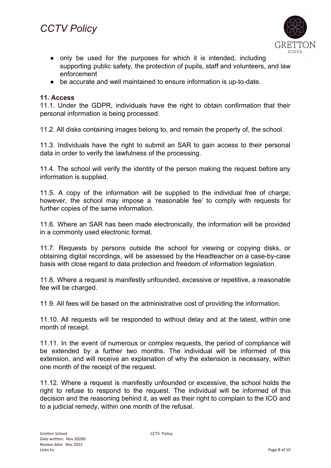

- only be used for the purposes for which it is intended, including supporting public safety, the protection of pupils, staff and volunteers, and law enforcement
- be accurate and well maintained to ensure information is up-to-date.

## **11. Access**

11.1. Under the GDPR, individuals have the right to obtain confirmation that their personal information is being processed.

11.2. All disks containing images belong to, and remain the property of, the school.

11.3. Individuals have the right to submit an SAR to gain access to their personal data in order to verify the lawfulness of the processing.

11.4. The school will verify the identity of the person making the request before any information is supplied.

11.5. A copy of the information will be supplied to the individual free of charge; however, the school may impose a 'reasonable fee' to comply with requests for further copies of the same information.

11.6. Where an SAR has been made electronically, the information will be provided in a commonly used electronic format.

11.7. Requests by persons outside the school for viewing or copying disks, or obtaining digital recordings, will be assessed by the Headteacher on a case-by-case basis with close regard to data protection and freedom of information legislation.

11.8. Where a request is manifestly unfounded, excessive or repetitive, a reasonable fee will be charged.

11.9. All fees will be based on the administrative cost of providing the information.

11.10. All requests will be responded to without delay and at the latest, within one month of receipt.

11.11. In the event of numerous or complex requests, the period of compliance will be extended by a further two months. The individual will be informed of this extension, and will receive an explanation of why the extension is necessary, within one month of the receipt of the request.

11.12. Where a request is manifestly unfounded or excessive, the school holds the right to refuse to respond to the request. The individual will be informed of this decision and the reasoning behind it, as well as their right to complain to the ICO and to a judicial remedy, within one month of the refusal.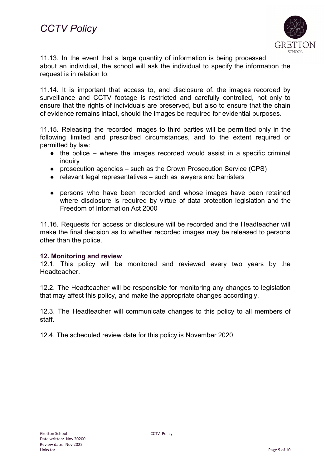

11.13. In the event that a large quantity of information is being processed about an individual, the school will ask the individual to specify the information the request is in relation to.

11.14. It is important that access to, and disclosure of, the images recorded by surveillance and CCTV footage is restricted and carefully controlled, not only to ensure that the rights of individuals are preserved, but also to ensure that the chain of evidence remains intact, should the images be required for evidential purposes.

11.15. Releasing the recorded images to third parties will be permitted only in the following limited and prescribed circumstances, and to the extent required or permitted by law:

- $\bullet$  the police where the images recorded would assist in a specific criminal inquiry
- prosecution agencies such as the Crown Prosecution Service (CPS)
- relevant legal representatives such as lawyers and barristers
- persons who have been recorded and whose images have been retained where disclosure is required by virtue of data protection legislation and the Freedom of Information Act 2000

11.16. Requests for access or disclosure will be recorded and the Headteacher will make the final decision as to whether recorded images may be released to persons other than the police.

#### **12. Monitoring and review**

12.1. This policy will be monitored and reviewed every two years by the Headteacher.

12.2. The Headteacher will be responsible for monitoring any changes to legislation that may affect this policy, and make the appropriate changes accordingly.

12.3. The Headteacher will communicate changes to this policy to all members of staff.

12.4. The scheduled review date for this policy is November 2020.